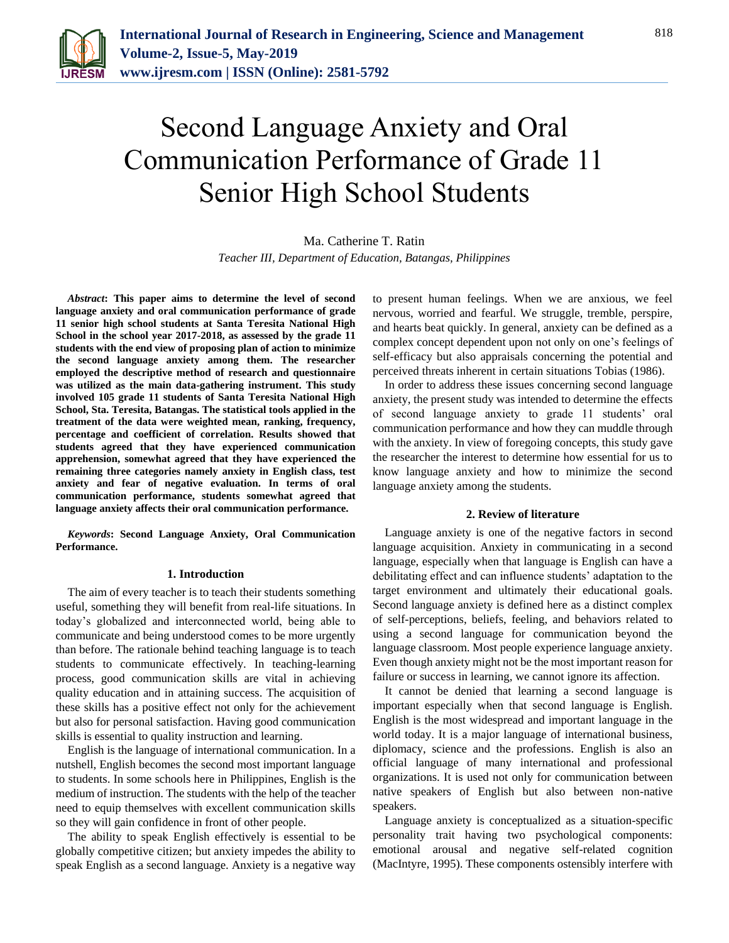

# Second Language Anxiety and Oral Communication Performance of Grade 11 Senior High School Students

Ma. Catherine T. Ratin *Teacher III, Department of Education, Batangas, Philippines*

*Abstract***: This paper aims to determine the level of second language anxiety and oral communication performance of grade 11 senior high school students at Santa Teresita National High School in the school year 2017-2018, as assessed by the grade 11 students with the end view of proposing plan of action to minimize the second language anxiety among them. The researcher employed the descriptive method of research and questionnaire was utilized as the main data-gathering instrument. This study involved 105 grade 11 students of Santa Teresita National High School, Sta. Teresita, Batangas. The statistical tools applied in the treatment of the data were weighted mean, ranking, frequency, percentage and coefficient of correlation. Results showed that students agreed that they have experienced communication apprehension, somewhat agreed that they have experienced the remaining three categories namely anxiety in English class, test anxiety and fear of negative evaluation. In terms of oral communication performance, students somewhat agreed that language anxiety affects their oral communication performance.**

*Keywords***: Second Language Anxiety, Oral Communication Performance.**

#### **1. Introduction**

The aim of every teacher is to teach their students something useful, something they will benefit from real-life situations. In today's globalized and interconnected world, being able to communicate and being understood comes to be more urgently than before. The rationale behind teaching language is to teach students to communicate effectively. In teaching-learning process, good communication skills are vital in achieving quality education and in attaining success. The acquisition of these skills has a positive effect not only for the achievement but also for personal satisfaction. Having good communication skills is essential to quality instruction and learning.

English is the language of international communication. In a nutshell, English becomes the second most important language to students. In some schools here in Philippines, English is the medium of instruction. The students with the help of the teacher need to equip themselves with excellent communication skills so they will gain confidence in front of other people.

The ability to speak English effectively is essential to be globally competitive citizen; but anxiety impedes the ability to speak English as a second language. Anxiety is a negative way to present human feelings. When we are anxious, we feel nervous, worried and fearful. We struggle, tremble, perspire, and hearts beat quickly. In general, anxiety can be defined as a complex concept dependent upon not only on one's feelings of self-efficacy but also appraisals concerning the potential and perceived threats inherent in certain situations Tobias (1986).

In order to address these issues concerning second language anxiety, the present study was intended to determine the effects of second language anxiety to grade 11 students' oral communication performance and how they can muddle through with the anxiety. In view of foregoing concepts, this study gave the researcher the interest to determine how essential for us to know language anxiety and how to minimize the second language anxiety among the students.

#### **2. Review of literature**

Language anxiety is one of the negative factors in second language acquisition. Anxiety in communicating in a second language, especially when that language is English can have a debilitating effect and can influence students' adaptation to the target environment and ultimately their educational goals. Second language anxiety is defined here as a distinct complex of self-perceptions, beliefs, feeling, and behaviors related to using a second language for communication beyond the language classroom. Most people experience language anxiety. Even though anxiety might not be the most important reason for failure or success in learning, we cannot ignore its affection.

It cannot be denied that learning a second language is important especially when that second language is English. English is the most widespread and important language in the world today. It is a major language of international business, diplomacy, science and the professions. English is also an official language of many international and professional organizations. It is used not only for communication between native speakers of English but also between non-native speakers.

Language anxiety is conceptualized as a situation-specific personality trait having two psychological components: emotional arousal and negative self-related cognition (MacIntyre, 1995). These components ostensibly interfere with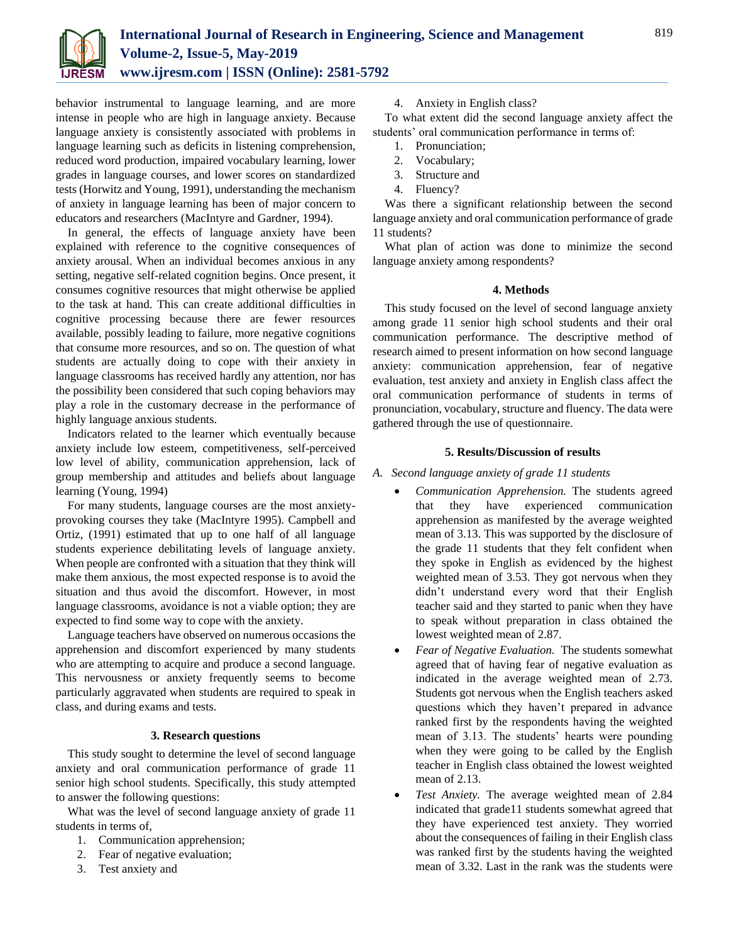

behavior instrumental to language learning, and are more intense in people who are high in language anxiety. Because language anxiety is consistently associated with problems in language learning such as deficits in listening comprehension, reduced word production, impaired vocabulary learning, lower grades in language courses, and lower scores on standardized tests (Horwitz and Young, 1991), understanding the mechanism of anxiety in language learning has been of major concern to educators and researchers (MacIntyre and Gardner, 1994).

In general, the effects of language anxiety have been explained with reference to the cognitive consequences of anxiety arousal. When an individual becomes anxious in any setting, negative self-related cognition begins. Once present, it consumes cognitive resources that might otherwise be applied to the task at hand. This can create additional difficulties in cognitive processing because there are fewer resources available, possibly leading to failure, more negative cognitions that consume more resources, and so on. The question of what students are actually doing to cope with their anxiety in language classrooms has received hardly any attention, nor has the possibility been considered that such coping behaviors may play a role in the customary decrease in the performance of highly language anxious students.

Indicators related to the learner which eventually because anxiety include low esteem, competitiveness, self-perceived low level of ability, communication apprehension, lack of group membership and attitudes and beliefs about language learning (Young, 1994)

For many students, language courses are the most anxietyprovoking courses they take (MacIntyre 1995). Campbell and Ortiz, (1991) estimated that up to one half of all language students experience debilitating levels of language anxiety. When people are confronted with a situation that they think will make them anxious, the most expected response is to avoid the situation and thus avoid the discomfort. However, in most language classrooms, avoidance is not a viable option; they are expected to find some way to cope with the anxiety.

Language teachers have observed on numerous occasions the apprehension and discomfort experienced by many students who are attempting to acquire and produce a second language. This nervousness or anxiety frequently seems to become particularly aggravated when students are required to speak in class, and during exams and tests.

#### **3. Research questions**

This study sought to determine the level of second language anxiety and oral communication performance of grade 11 senior high school students. Specifically, this study attempted to answer the following questions:

What was the level of second language anxiety of grade 11 students in terms of,

- 1. Communication apprehension;
- 2. Fear of negative evaluation;
- 3. Test anxiety and

4. Anxiety in English class?

To what extent did the second language anxiety affect the students' oral communication performance in terms of:

- 1. Pronunciation;
- 2. Vocabulary;
- 3. Structure and
- 4. Fluency?

Was there a significant relationship between the second language anxiety and oral communication performance of grade 11 students?

What plan of action was done to minimize the second language anxiety among respondents?

#### **4. Methods**

This study focused on the level of second language anxiety among grade 11 senior high school students and their oral communication performance. The descriptive method of research aimed to present information on how second language anxiety: communication apprehension, fear of negative evaluation, test anxiety and anxiety in English class affect the oral communication performance of students in terms of pronunciation, vocabulary, structure and fluency. The data were gathered through the use of questionnaire.

#### **5. Results/Discussion of results**

- *A. Second language anxiety of grade 11 students*
	- *Communication Apprehension.* The students agreed that they have experienced communication apprehension as manifested by the average weighted mean of 3.13. This was supported by the disclosure of the grade 11 students that they felt confident when they spoke in English as evidenced by the highest weighted mean of 3.53. They got nervous when they didn't understand every word that their English teacher said and they started to panic when they have to speak without preparation in class obtained the lowest weighted mean of 2.87.
	- *Fear of Negative Evaluation.* The students somewhat agreed that of having fear of negative evaluation as indicated in the average weighted mean of 2.73. Students got nervous when the English teachers asked questions which they haven't prepared in advance ranked first by the respondents having the weighted mean of 3.13. The students' hearts were pounding when they were going to be called by the English teacher in English class obtained the lowest weighted mean of 2.13.
	- *Test Anxiety.* The average weighted mean of 2.84 indicated that grade11 students somewhat agreed that they have experienced test anxiety. They worried about the consequences of failing in their English class was ranked first by the students having the weighted mean of 3.32. Last in the rank was the students were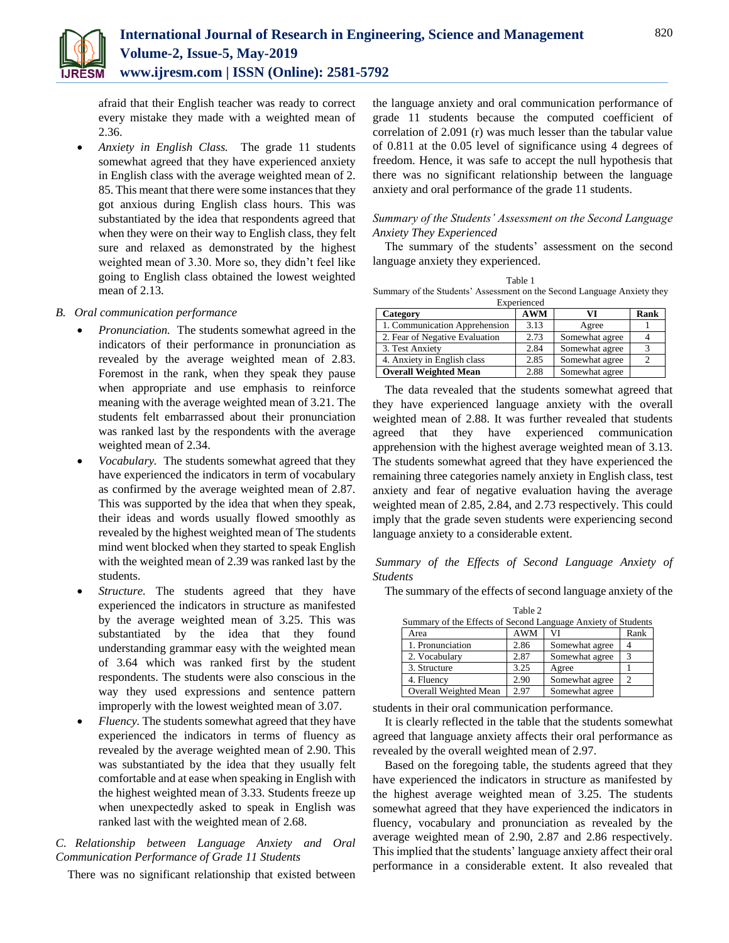

afraid that their English teacher was ready to correct every mistake they made with a weighted mean of 2.36.

 *Anxiety in English Class.* The grade 11 students somewhat agreed that they have experienced anxiety in English class with the average weighted mean of 2. 85. This meant that there were some instances that they got anxious during English class hours. This was substantiated by the idea that respondents agreed that when they were on their way to English class, they felt sure and relaxed as demonstrated by the highest weighted mean of 3.30. More so, they didn't feel like going to English class obtained the lowest weighted mean of 2.13.

#### *B. Oral communication performance*

- *Pronunciation.* The students somewhat agreed in the indicators of their performance in pronunciation as revealed by the average weighted mean of 2.83. Foremost in the rank, when they speak they pause when appropriate and use emphasis to reinforce meaning with the average weighted mean of 3.21. The students felt embarrassed about their pronunciation was ranked last by the respondents with the average weighted mean of 2.34.
- *Vocabulary.* The students somewhat agreed that they have experienced the indicators in term of vocabulary as confirmed by the average weighted mean of 2.87. This was supported by the idea that when they speak, their ideas and words usually flowed smoothly as revealed by the highest weighted mean of The students mind went blocked when they started to speak English with the weighted mean of 2.39 was ranked last by the students.
- *Structure.* The students agreed that they have experienced the indicators in structure as manifested by the average weighted mean of 3.25. This was substantiated by the idea that they found understanding grammar easy with the weighted mean of 3.64 which was ranked first by the student respondents. The students were also conscious in the way they used expressions and sentence pattern improperly with the lowest weighted mean of 3.07.
- *Fluency.* The students somewhat agreed that they have experienced the indicators in terms of fluency as revealed by the average weighted mean of 2.90. This was substantiated by the idea that they usually felt comfortable and at ease when speaking in English with the highest weighted mean of 3.33. Students freeze up when unexpectedly asked to speak in English was ranked last with the weighted mean of 2.68.

### *C. Relationship between Language Anxiety and Oral Communication Performance of Grade 11 Students*

There was no significant relationship that existed between

the language anxiety and oral communication performance of grade 11 students because the computed coefficient of correlation of 2.091 (r) was much lesser than the tabular value of 0.811 at the 0.05 level of significance using 4 degrees of freedom. Hence, it was safe to accept the null hypothesis that there was no significant relationship between the language anxiety and oral performance of the grade 11 students.

#### *Summary of the Students' Assessment on the Second Language Anxiety They Experienced*

The summary of the students' assessment on the second language anxiety they experienced.

| Table 1                                                                 |            |                |              |  |  |
|-------------------------------------------------------------------------|------------|----------------|--------------|--|--|
| Summary of the Students' Assessment on the Second Language Anxiety they |            |                |              |  |  |
| Experienced                                                             |            |                |              |  |  |
| Category                                                                | <b>AWM</b> | VI             | Rank         |  |  |
| 1. Communication Apprehension                                           | 3.13       | Agree          |              |  |  |
| 2. Fear of Negative Evaluation                                          | 2.73       | Somewhat agree |              |  |  |
| 3. Test Anxiety                                                         | 2.84       | Somewhat agree | $\mathbf{R}$ |  |  |
| 4. Anxiety in English class                                             | 2.85       | Somewhat agree |              |  |  |
| <b>Overall Weighted Mean</b>                                            | 2.88       | Somewhat agree |              |  |  |

The data revealed that the students somewhat agreed that they have experienced language anxiety with the overall weighted mean of 2.88. It was further revealed that students agreed that they have experienced communication apprehension with the highest average weighted mean of 3.13. The students somewhat agreed that they have experienced the remaining three categories namely anxiety in English class, test anxiety and fear of negative evaluation having the average weighted mean of 2.85, 2.84, and 2.73 respectively. This could imply that the grade seven students were experiencing second language anxiety to a considerable extent.

*Summary of the Effects of Second Language Anxiety of Students*

The summary of the effects of second language anxiety of the

| Table 2                                                       |            |                |      |  |  |
|---------------------------------------------------------------|------------|----------------|------|--|--|
| Summary of the Effects of Second Language Anxiety of Students |            |                |      |  |  |
| Area                                                          | <b>AWM</b> | VI             | Rank |  |  |
| 1. Pronunciation                                              | 2.86       | Somewhat agree |      |  |  |
| 2. Vocabulary                                                 | 2.87       | Somewhat agree |      |  |  |
| 3. Structure                                                  | 3.25       | Agree          |      |  |  |
| 4. Fluency                                                    | 2.90       | Somewhat agree |      |  |  |
| Overall Weighted Mean                                         | 2.97       | Somewhat agree |      |  |  |

students in their oral communication performance.

It is clearly reflected in the table that the students somewhat agreed that language anxiety affects their oral performance as revealed by the overall weighted mean of 2.97.

Based on the foregoing table, the students agreed that they have experienced the indicators in structure as manifested by the highest average weighted mean of 3.25. The students somewhat agreed that they have experienced the indicators in fluency, vocabulary and pronunciation as revealed by the average weighted mean of 2.90, 2.87 and 2.86 respectively. This implied that the students' language anxiety affect their oral performance in a considerable extent. It also revealed that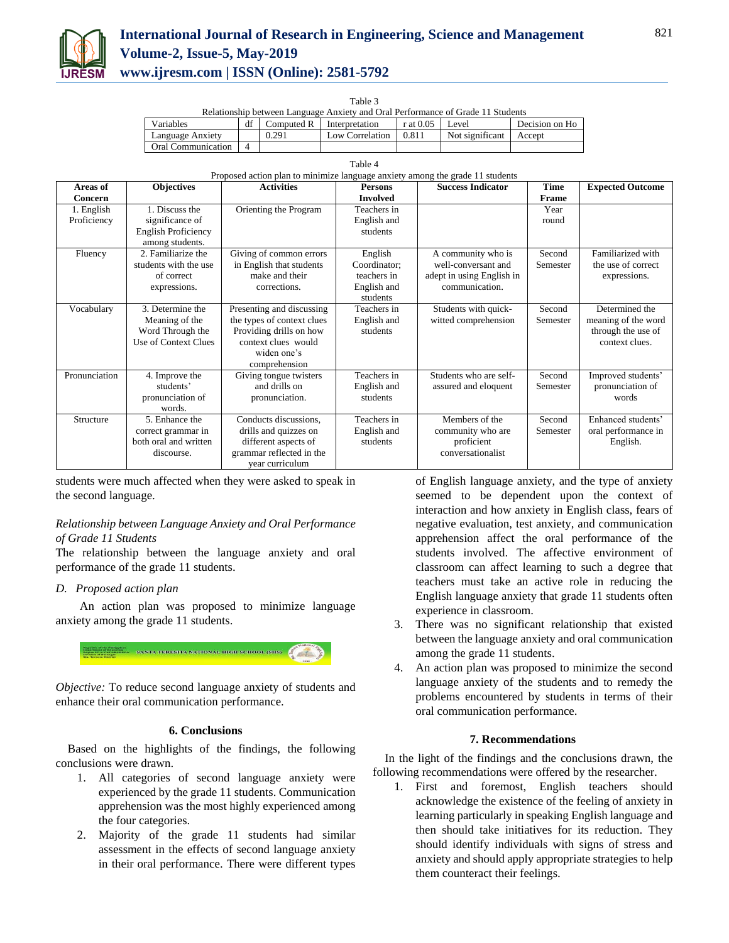

# **International Journal of Research in Engineering, Science and Management Volume-2, Issue-5, May-2019 www.ijresm.com | ISSN (Online): 2581-5792**

Table 3

| Relationship between Language Anxiety and Oral Performance of Grade 11 Students |  |       |                                      |             |                 |                |
|---------------------------------------------------------------------------------|--|-------|--------------------------------------|-------------|-----------------|----------------|
| Variables                                                                       |  |       | Computed $\mathbb{R}$ Interpretation | $r$ at 0.05 | Level           | Decision on Ho |
| Language Anxiety                                                                |  | 0.291 | Low Correlation                      | 0.811       | Not significant | Accept         |
| <b>Oral Communication</b>                                                       |  |       |                                      |             |                 |                |

| Table 4                                                                       |  |
|-------------------------------------------------------------------------------|--|
| Proposed action plan to minimize language anxiety among the grade 11 students |  |

| Areas of                  | <b>Objectives</b>                                                                  | <b>Activities</b>                                                                                                                         | <b>Persons</b>                                                    | <b>Success Indicator</b>                                                                 | <b>Time</b>        | <b>Expected Outcome</b>                                                       |
|---------------------------|------------------------------------------------------------------------------------|-------------------------------------------------------------------------------------------------------------------------------------------|-------------------------------------------------------------------|------------------------------------------------------------------------------------------|--------------------|-------------------------------------------------------------------------------|
| Concern                   |                                                                                    |                                                                                                                                           | <b>Involved</b>                                                   |                                                                                          | Frame              |                                                                               |
| 1. English<br>Proficiency | 1. Discuss the<br>significance of<br><b>English Proficiency</b><br>among students. | Orienting the Program                                                                                                                     | Teachers in<br>English and<br>students                            |                                                                                          | Year<br>round      |                                                                               |
| Fluency                   | 2. Familiarize the<br>students with the use<br>of correct<br>expressions.          | Giving of common errors<br>in English that students<br>make and their<br>corrections.                                                     | English<br>Coordinator;<br>teachers in<br>English and<br>students | A community who is<br>well-conversant and<br>adept in using English in<br>communication. | Second<br>Semester | Familiarized with<br>the use of correct<br>expressions.                       |
| Vocabulary                | 3. Determine the<br>Meaning of the<br>Word Through the<br>Use of Context Clues     | Presenting and discussing<br>the types of context clues<br>Providing drills on how<br>context clues would<br>widen one's<br>comprehension | Teachers in<br>English and<br>students                            | Students with quick-<br>witted comprehension                                             | Second<br>Semester | Determined the<br>meaning of the word<br>through the use of<br>context clues. |
| Pronunciation             | 4. Improve the<br>students'<br>pronunciation of<br>words.                          | Giving tongue twisters<br>and drills on<br>pronunciation.                                                                                 | Teachers in<br>English and<br>students                            | Students who are self-<br>assured and eloquent                                           | Second<br>Semester | Improved students'<br>pronunciation of<br>words                               |
| Structure                 | 5. Enhance the<br>correct grammar in<br>both oral and written<br>discourse.        | Conducts discussions,<br>drills and quizzes on<br>different aspects of<br>grammar reflected in the<br>year curriculum                     | Teachers in<br>English and<br>students                            | Members of the<br>community who are<br>proficient<br>conversationalist                   | Second<br>Semester | Enhanced students'<br>oral performance in<br>English.                         |

students were much affected when they were asked to speak in the second language.

#### *Relationship between Language Anxiety and Oral Performance of Grade 11 Students*

The relationship between the language anxiety and oral performance of the grade 11 students.

# *D. Proposed action plan*

An action plan was proposed to minimize language anxiety among the grade 11 students.



*Objective:* To reduce second language anxiety of students and enhance their oral communication performance.

#### **6. Conclusions**

Based on the highlights of the findings, the following conclusions were drawn.

- 1. All categories of second language anxiety were experienced by the grade 11 students. Communication apprehension was the most highly experienced among the four categories.
- 2. Majority of the grade 11 students had similar assessment in the effects of second language anxiety in their oral performance. There were different types

of English language anxiety, and the type of anxiety seemed to be dependent upon the context of interaction and how anxiety in English class, fears of negative evaluation, test anxiety, and communication apprehension affect the oral performance of the students involved. The affective environment of classroom can affect learning to such a degree that teachers must take an active role in reducing the English language anxiety that grade 11 students often experience in classroom.

- 3. There was no significant relationship that existed between the language anxiety and oral communication among the grade 11 students.
- 4. An action plan was proposed to minimize the second language anxiety of the students and to remedy the problems encountered by students in terms of their oral communication performance.

# **7. Recommendations**

In the light of the findings and the conclusions drawn, the following recommendations were offered by the researcher.

1. First and foremost, English teachers should acknowledge the existence of the feeling of anxiety in learning particularly in speaking English language and then should take initiatives for its reduction. They should identify individuals with signs of stress and anxiety and should apply appropriate strategies to help them counteract their feelings.